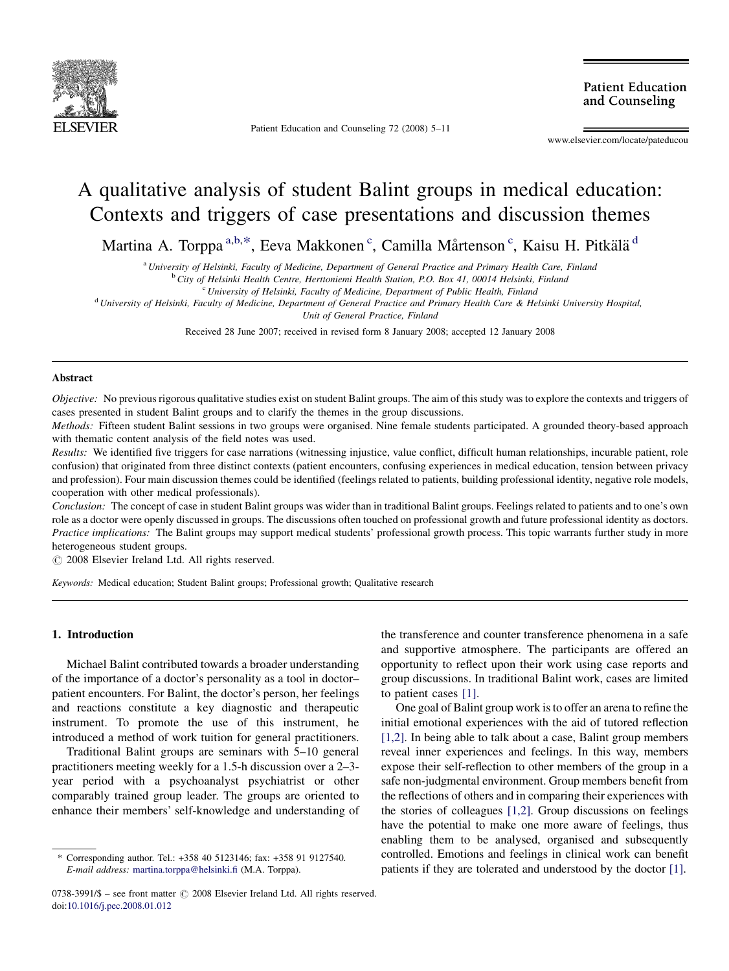

Patient Education and Counseling 72 (2008) 5–11

**Patient Education** and Counseling

www.elsevier.com/locate/pateducou

# A qualitative analysis of student Balint groups in medical education: Contexts and triggers of case presentations and discussion themes

Martina A. Torppa<sup>a,b,\*</sup>, Eeva Makkonen<sup>c</sup>, Camilla Mårtenson<sup>c</sup>, Kaisu H. Pitkälä<sup>d</sup>

<sup>a</sup> University of Helsinki, Faculty of Medicine, Department of General Practice and Primary Health Care, Finland

 $b$ City of Helsinki Health Centre, Herttoniemi Health Station, P.O. Box 41, 00014 Helsinki, Finland

<sup>c</sup> University of Helsinki, Faculty of Medicine, Department of Public Health, Finland

<sup>d</sup> University of Helsinki, Faculty of Medicine, Department of General Practice and Primary Health Care & Helsinki University Hospital,

Unit of General Practice, Finland

Received 28 June 2007; received in revised form 8 January 2008; accepted 12 January 2008

#### Abstract

Objective: No previous rigorous qualitative studies exist on student Balint groups. The aim of this study was to explore the contexts and triggers of cases presented in student Balint groups and to clarify the themes in the group discussions.

Methods: Fifteen student Balint sessions in two groups were organised. Nine female students participated. A grounded theory-based approach with thematic content analysis of the field notes was used.

Results: We identified five triggers for case narrations (witnessing injustice, value conflict, difficult human relationships, incurable patient, role confusion) that originated from three distinct contexts (patient encounters, confusing experiences in medical education, tension between privacy and profession). Four main discussion themes could be identified (feelings related to patients, building professional identity, negative role models, cooperation with other medical professionals).

Conclusion: The concept of case in student Balint groups was wider than in traditional Balint groups. Feelings related to patients and to one's own role as a doctor were openly discussed in groups. The discussions often touched on professional growth and future professional identity as doctors. Practice implications: The Balint groups may support medical students' professional growth process. This topic warrants further study in more heterogeneous student groups.

 $\odot$  2008 Elsevier Ireland Ltd. All rights reserved.

Keywords: Medical education; Student Balint groups; Professional growth; Qualitative research

## 1. Introduction

Michael Balint contributed towards a broader understanding of the importance of a doctor's personality as a tool in doctor– patient encounters. For Balint, the doctor's person, her feelings and reactions constitute a key diagnostic and therapeutic instrument. To promote the use of this instrument, he introduced a method of work tuition for general practitioners.

Traditional Balint groups are seminars with 5–10 general practitioners meeting weekly for a 1.5-h discussion over a 2–3 year period with a psychoanalyst psychiatrist or other comparably trained group leader. The groups are oriented to enhance their members' self-knowledge and understanding of the transference and counter transference phenomena in a safe and supportive atmosphere. The participants are offered an opportunity to reflect upon their work using case reports and group discussions. In traditional Balint work, cases are limited to patient cases [\[1\]](#page-5-0).

One goal of Balint group work is to offer an arena to refine the initial emotional experiences with the aid of tutored reflection [\[1,2\]](#page-5-0). In being able to talk about a case, Balint group members reveal inner experiences and feelings. In this way, members expose their self-reflection to other members of the group in a safe non-judgmental environment. Group members benefit from the reflections of others and in comparing their experiences with the stories of colleagues [\[1,2\].](#page-5-0) Group discussions on feelings have the potential to make one more aware of feelings, thus enabling them to be analysed, organised and subsequently controlled. Emotions and feelings in clinical work can benefit patients if they are tolerated and understood by the doctor [\[1\]](#page-5-0).

Corresponding author. Tel.: +358 40 5123146; fax: +358 91 9127540. E-mail address: [martina.torppa@helsinki.fi](mailto:martina.torppa@helsinki.fi) (M.A. Torppa).

<sup>0738-3991/\$ –</sup> see front matter  $\odot$  2008 Elsevier Ireland Ltd. All rights reserved. doi:[10.1016/j.pec.2008.01.012](http://dx.doi.org/10.1016/j.pec.2008.01.012)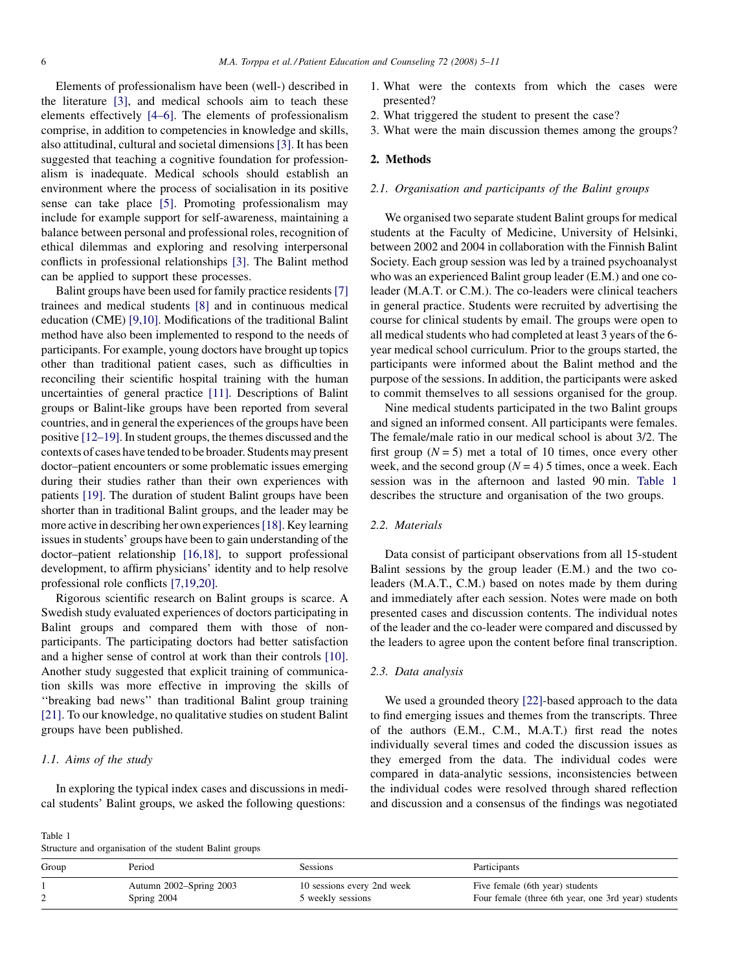Elements of professionalism have been (well-) described in the literature [\[3\]](#page-5-0), and medical schools aim to teach these elements effectively [\[4–6\]](#page-5-0). The elements of professionalism comprise, in addition to competencies in knowledge and skills, also attitudinal, cultural and societal dimensions [\[3\].](#page-5-0) It has been suggested that teaching a cognitive foundation for professionalism is inadequate. Medical schools should establish an environment where the process of socialisation in its positive sense can take place [\[5\]](#page-5-0). Promoting professionalism may include for example support for self-awareness, maintaining a balance between personal and professional roles, recognition of ethical dilemmas and exploring and resolving interpersonal conflicts in professional relationships [\[3\]](#page-5-0). The Balint method can be applied to support these processes.

Balint groups have been used for family practice residents [\[7\]](#page-6-0) trainees and medical students [\[8\]](#page-6-0) and in continuous medical education (CME) [\[9,10\]](#page-6-0). Modifications of the traditional Balint method have also been implemented to respond to the needs of participants. For example, young doctors have brought up topics other than traditional patient cases, such as difficulties in reconciling their scientific hospital training with the human uncertainties of general practice [\[11\].](#page-6-0) Descriptions of Balint groups or Balint-like groups have been reported from several countries, and in general the experiences of the groups have been positive [\[12–19\].](#page-6-0) In student groups, the themes discussed and the contexts of cases have tended to be broader. Students may present doctor–patient encounters or some problematic issues emerging during their studies rather than their own experiences with patients [\[19\].](#page-6-0) The duration of student Balint groups have been shorter than in traditional Balint groups, and the leader may be more active in describing her own experiences[\[18\]](#page-6-0). Key learning issues in students' groups have been to gain understanding of the doctor–patient relationship [\[16,18\]](#page-6-0), to support professional development, to affirm physicians' identity and to help resolve professional role conflicts [\[7,19,20\].](#page-6-0)

Rigorous scientific research on Balint groups is scarce. A Swedish study evaluated experiences of doctors participating in Balint groups and compared them with those of nonparticipants. The participating doctors had better satisfaction and a higher sense of control at work than their controls [\[10\]](#page-6-0). Another study suggested that explicit training of communication skills was more effective in improving the skills of ''breaking bad news'' than traditional Balint group training [\[21\]](#page-6-0). To our knowledge, no qualitative studies on student Balint groups have been published.

## 1.1. Aims of the study

In exploring the typical index cases and discussions in medical students' Balint groups, we asked the following questions:

- 1. What were the contexts from which the cases were presented?
- 2. What triggered the student to present the case?
- 3. What were the main discussion themes among the groups?

## 2. Methods

## 2.1. Organisation and participants of the Balint groups

We organised two separate student Balint groups for medical students at the Faculty of Medicine, University of Helsinki, between 2002 and 2004 in collaboration with the Finnish Balint Society. Each group session was led by a trained psychoanalyst who was an experienced Balint group leader (E.M.) and one coleader (M.A.T. or C.M.). The co-leaders were clinical teachers in general practice. Students were recruited by advertising the course for clinical students by email. The groups were open to all medical students who had completed at least 3 years of the 6 year medical school curriculum. Prior to the groups started, the participants were informed about the Balint method and the purpose of the sessions. In addition, the participants were asked to commit themselves to all sessions organised for the group.

Nine medical students participated in the two Balint groups and signed an informed consent. All participants were females. The female/male ratio in our medical school is about 3/2. The first group  $(N = 5)$  met a total of 10 times, once every other week, and the second group ( $N = 4$ ) 5 times, once a week. Each session was in the afternoon and lasted 90 min. Table 1 describes the structure and organisation of the two groups.

## 2.2. Materials

Data consist of participant observations from all 15-student Balint sessions by the group leader (E.M.) and the two coleaders (M.A.T., C.M.) based on notes made by them during and immediately after each session. Notes were made on both presented cases and discussion contents. The individual notes of the leader and the co-leader were compared and discussed by the leaders to agree upon the content before final transcription.

#### 2.3. Data analysis

We used a grounded theory [\[22\]-](#page-6-0)based approach to the data to find emerging issues and themes from the transcripts. Three of the authors (E.M., C.M., M.A.T.) first read the notes individually several times and coded the discussion issues as they emerged from the data. The individual codes were compared in data-analytic sessions, inconsistencies between the individual codes were resolved through shared reflection and discussion and a consensus of the findings was negotiated

| Table 1                                                 |  |  |  |
|---------------------------------------------------------|--|--|--|
| Structure and organisation of the student Balint groups |  |  |  |

| Group | Period                  | Sessions                   | Participants                                        |
|-------|-------------------------|----------------------------|-----------------------------------------------------|
|       | Autumn 2002–Spring 2003 | 10 sessions every 2nd week | Five female (6th year) students                     |
|       | Spring 2004             | 5 weekly sessions          | Four female (three 6th year, one 3rd year) students |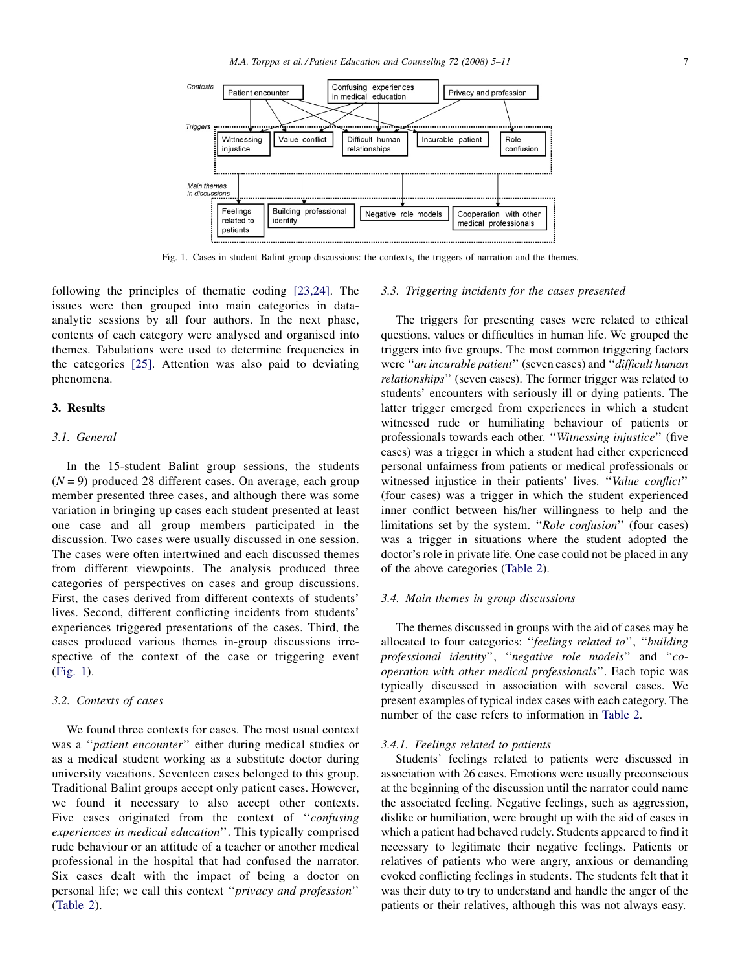

Fig. 1. Cases in student Balint group discussions: the contexts, the triggers of narration and the themes.

following the principles of thematic coding [\[23,24\].](#page-6-0) The issues were then grouped into main categories in dataanalytic sessions by all four authors. In the next phase, contents of each category were analysed and organised into themes. Tabulations were used to determine frequencies in the categories [\[25\]](#page-6-0). Attention was also paid to deviating phenomena.

# 3. Results

# 3.1. General

In the 15-student Balint group sessions, the students  $(N = 9)$  produced 28 different cases. On average, each group member presented three cases, and although there was some variation in bringing up cases each student presented at least one case and all group members participated in the discussion. Two cases were usually discussed in one session. The cases were often intertwined and each discussed themes from different viewpoints. The analysis produced three categories of perspectives on cases and group discussions. First, the cases derived from different contexts of students' lives. Second, different conflicting incidents from students' experiences triggered presentations of the cases. Third, the cases produced various themes in-group discussions irrespective of the context of the case or triggering event (Fig. 1).

# 3.2. Contexts of cases

We found three contexts for cases. The most usual context was a ''patient encounter'' either during medical studies or as a medical student working as a substitute doctor during university vacations. Seventeen cases belonged to this group. Traditional Balint groups accept only patient cases. However, we found it necessary to also accept other contexts. Five cases originated from the context of "confusing experiences in medical education''. This typically comprised rude behaviour or an attitude of a teacher or another medical professional in the hospital that had confused the narrator. Six cases dealt with the impact of being a doctor on personal life; we call this context ''privacy and profession'' ([Table 2\)](#page-3-0).

# 3.3. Triggering incidents for the cases presented

The triggers for presenting cases were related to ethical questions, values or difficulties in human life. We grouped the triggers into five groups. The most common triggering factors were "an incurable patient" (seven cases) and "difficult human relationships'' (seven cases). The former trigger was related to students' encounters with seriously ill or dying patients. The latter trigger emerged from experiences in which a student witnessed rude or humiliating behaviour of patients or professionals towards each other. ''Witnessing injustice'' (five cases) was a trigger in which a student had either experienced personal unfairness from patients or medical professionals or witnessed injustice in their patients' lives. "Value conflict" (four cases) was a trigger in which the student experienced inner conflict between his/her willingness to help and the limitations set by the system. ''Role confusion'' (four cases) was a trigger in situations where the student adopted the doctor's role in private life. One case could not be placed in any of the above categories ([Table 2](#page-3-0)).

## 3.4. Main themes in group discussions

The themes discussed in groups with the aid of cases may be allocated to four categories: ''feelings related to'', ''building professional identity'', ''negative role models'' and ''cooperation with other medical professionals''. Each topic was typically discussed in association with several cases. We present examples of typical index cases with each category. The number of the case refers to information in [Table 2.](#page-3-0)

## 3.4.1. Feelings related to patients

Students' feelings related to patients were discussed in association with 26 cases. Emotions were usually preconscious at the beginning of the discussion until the narrator could name the associated feeling. Negative feelings, such as aggression, dislike or humiliation, were brought up with the aid of cases in which a patient had behaved rudely. Students appeared to find it necessary to legitimate their negative feelings. Patients or relatives of patients who were angry, anxious or demanding evoked conflicting feelings in students. The students felt that it was their duty to try to understand and handle the anger of the patients or their relatives, although this was not always easy.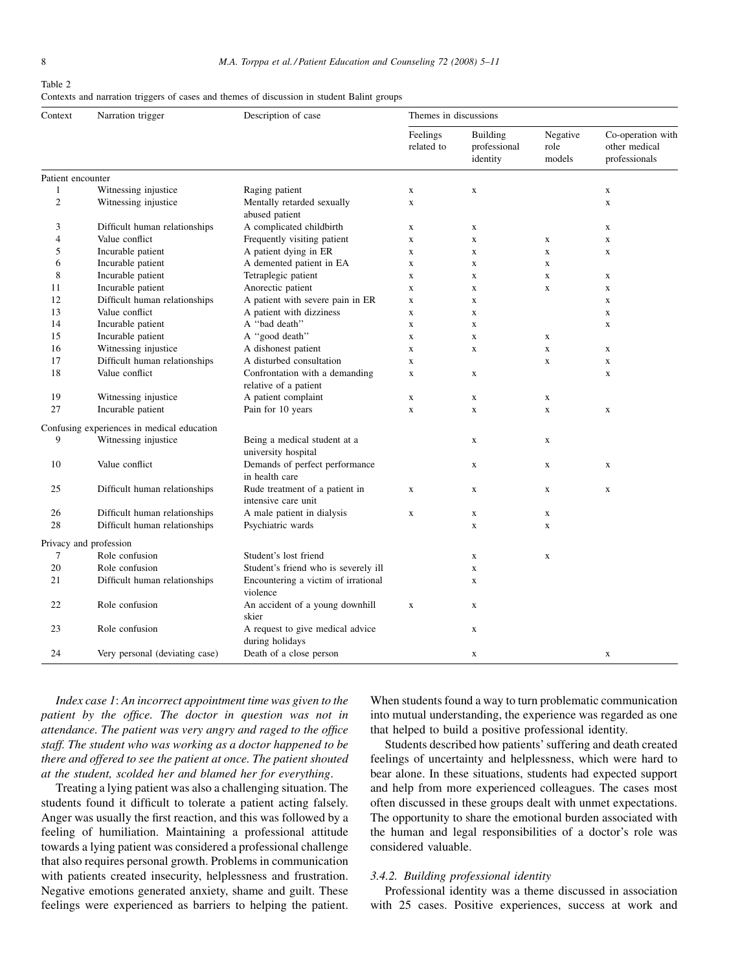<span id="page-3-0"></span>Table 2

Contexts and narration triggers of cases and themes of discussion in student Balint groups

| Context           | Narration trigger                          | Description of case                                     | Themes in discussions  |                                             |                            |                                                     |
|-------------------|--------------------------------------------|---------------------------------------------------------|------------------------|---------------------------------------------|----------------------------|-----------------------------------------------------|
|                   |                                            |                                                         | Feelings<br>related to | <b>Building</b><br>professional<br>identity | Negative<br>role<br>models | Co-operation with<br>other medical<br>professionals |
| Patient encounter |                                            |                                                         |                        |                                             |                            |                                                     |
| $\mathbf{1}$      | Witnessing injustice                       | Raging patient                                          | $\mathbf X$            | $\mathbf X$                                 |                            | $\mathbf X$                                         |
| $\overline{c}$    | Witnessing injustice                       | Mentally retarded sexually<br>abused patient            | $\mathbf{x}$           |                                             |                            | X                                                   |
| 3                 | Difficult human relationships              | A complicated childbirth                                | $\mathbf X$            | X                                           |                            | X                                                   |
| $\overline{4}$    | Value conflict                             | Frequently visiting patient                             | $\mathbf X$            | $\mathbf X$                                 | $\mathbf X$                | $\mathbf X$                                         |
| 5                 | Incurable patient                          | A patient dying in ER                                   | $\mathbf X$            | $\mathbf X$                                 | $\mathbf x$                | $\mathbf X$                                         |
| 6                 | Incurable patient                          | A demented patient in EA                                | $\mathbf x$            | X                                           | $\mathbf X$                |                                                     |
| 8                 | Incurable patient                          | Tetraplegic patient                                     | $\mathbf X$            | $\mathbf X$                                 | $\mathbf X$                | $\mathbf X$                                         |
| 11                | Incurable patient                          | Anorectic patient                                       | $\mathbf x$            | $\mathbf x$                                 | $\mathbf x$                | $\mathbf X$                                         |
| 12                | Difficult human relationships              | A patient with severe pain in ER                        | $\mathbf X$            | $\mathbf X$                                 |                            | $\mathbf X$                                         |
| 13                | Value conflict                             | A patient with dizziness                                | $\mathbf X$            | X                                           |                            | $\mathbf X$                                         |
| 14                | Incurable patient                          | A "bad death"                                           | $\mathbf x$            | $\mathbf X$                                 |                            | $\mathbf X$                                         |
| 15                | Incurable patient                          | A "good death"                                          | $\mathbf x$            | $\mathbf X$                                 | $\mathbf X$                |                                                     |
| 16                | Witnessing injustice                       | A dishonest patient                                     | $\mathbf x$            | $\mathbf x$                                 | $\mathbf x$                | $\mathbf X$                                         |
| 17                | Difficult human relationships              | A disturbed consultation                                | $\mathbf X$            |                                             | $\mathbf X$                | $\mathbf X$                                         |
| 18                | Value conflict                             | Confrontation with a demanding<br>relative of a patient | $\mathbf{x}$           | $\mathbf{x}$                                |                            | $\mathbf x$                                         |
| 19                | Witnessing injustice                       | A patient complaint                                     | $\mathbf X$            | $\mathbf X$                                 | $\mathbf X$                |                                                     |
| 27                | Incurable patient                          | Pain for 10 years                                       | $\mathbf x$            | $\mathbf{x}$                                | $\mathbf x$                | $\mathbf X$                                         |
|                   | Confusing experiences in medical education |                                                         |                        |                                             |                            |                                                     |
| 9                 | Witnessing injustice                       | Being a medical student at a<br>university hospital     |                        | $\mathbf X$                                 | $\mathbf X$                |                                                     |
| 10                | Value conflict                             | Demands of perfect performance<br>in health care        |                        | X                                           | X                          | X                                                   |
| 25                | Difficult human relationships              | Rude treatment of a patient in<br>intensive care unit   | $\mathbf x$            | $\mathbf{x}$                                | $\mathbf x$                | $\mathbf X$                                         |
| 26                | Difficult human relationships              | A male patient in dialysis                              | $\mathbf x$            | X                                           | X                          |                                                     |
| 28                | Difficult human relationships              | Psychiatric wards                                       |                        | $\mathbf x$                                 | $\mathbf x$                |                                                     |
|                   | Privacy and profession                     |                                                         |                        |                                             |                            |                                                     |
| 7                 | Role confusion                             | Student's lost friend                                   |                        | X                                           | $\mathbf X$                |                                                     |
| 20                | Role confusion                             | Student's friend who is severely ill                    |                        | X                                           |                            |                                                     |
| 21                | Difficult human relationships              | Encountering a victim of irrational<br>violence         |                        | $\mathbf{x}$                                |                            |                                                     |
| 22                | Role confusion                             | An accident of a young downhill<br>skier                | $\mathbf X$            | X                                           |                            |                                                     |
| 23                | Role confusion                             | A request to give medical advice<br>during holidays     |                        | $\mathbf X$                                 |                            |                                                     |
| 24                | Very personal (deviating case)             | Death of a close person                                 |                        | X                                           |                            | $\mathbf X$                                         |

Index case 1: An incorrect appointment time was given to the patient by the office. The doctor in question was not in attendance. The patient was very angry and raged to the office staff. The student who was working as a doctor happened to be there and offered to see the patient at once. The patient shouted at the student, scolded her and blamed her for everything.

Treating a lying patient was also a challenging situation. The students found it difficult to tolerate a patient acting falsely. Anger was usually the first reaction, and this was followed by a feeling of humiliation. Maintaining a professional attitude towards a lying patient was considered a professional challenge that also requires personal growth. Problems in communication with patients created insecurity, helplessness and frustration. Negative emotions generated anxiety, shame and guilt. These feelings were experienced as barriers to helping the patient. When students found a way to turn problematic communication into mutual understanding, the experience was regarded as one that helped to build a positive professional identity.

Students described how patients' suffering and death created feelings of uncertainty and helplessness, which were hard to bear alone. In these situations, students had expected support and help from more experienced colleagues. The cases most often discussed in these groups dealt with unmet expectations. The opportunity to share the emotional burden associated with the human and legal responsibilities of a doctor's role was considered valuable.

# 3.4.2. Building professional identity

Professional identity was a theme discussed in association with 25 cases. Positive experiences, success at work and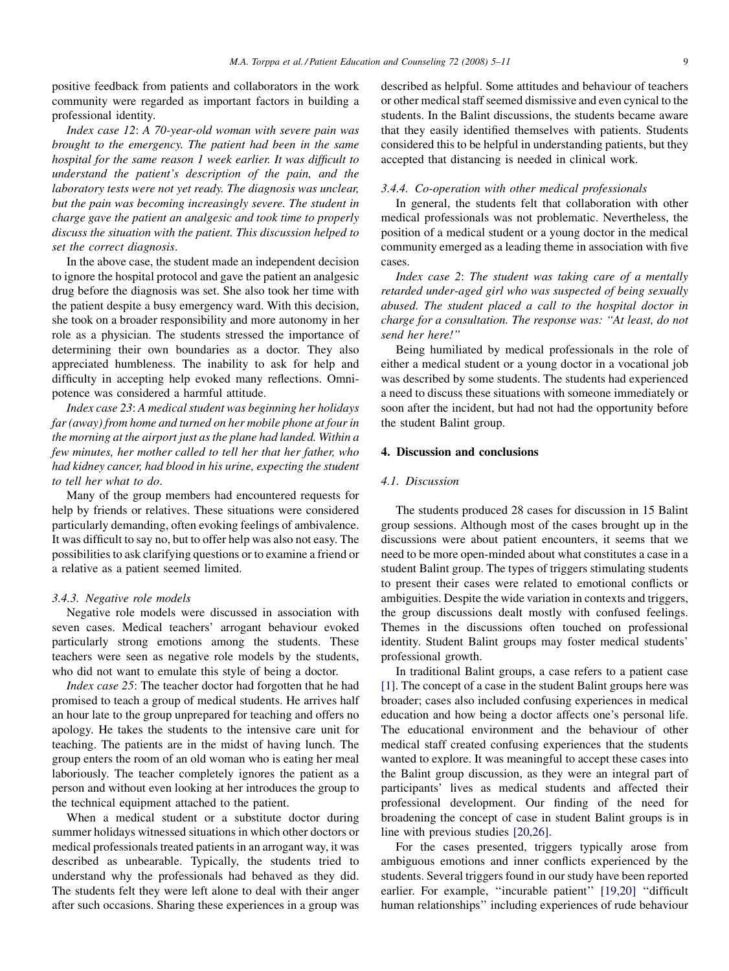positive feedback from patients and collaborators in the work community were regarded as important factors in building a professional identity.

Index case 12: A 70-year-old woman with severe pain was brought to the emergency. The patient had been in the same hospital for the same reason 1 week earlier. It was difficult to understand the patient's description of the pain, and the laboratory tests were not yet ready. The diagnosis was unclear, but the pain was becoming increasingly severe. The student in charge gave the patient an analgesic and took time to properly discuss the situation with the patient. This discussion helped to set the correct diagnosis.

In the above case, the student made an independent decision to ignore the hospital protocol and gave the patient an analgesic drug before the diagnosis was set. She also took her time with the patient despite a busy emergency ward. With this decision, she took on a broader responsibility and more autonomy in her role as a physician. The students stressed the importance of determining their own boundaries as a doctor. They also appreciated humbleness. The inability to ask for help and difficulty in accepting help evoked many reflections. Omnipotence was considered a harmful attitude.

Index case 23: A medical student was beginning her holidays far (away) from home and turned on her mobile phone at four in the morning at the airport just as the plane had landed. Within a few minutes, her mother called to tell her that her father, who had kidney cancer, had blood in his urine, expecting the student to tell her what to do.

Many of the group members had encountered requests for help by friends or relatives. These situations were considered particularly demanding, often evoking feelings of ambivalence. It was difficult to say no, but to offer help was also not easy. The possibilities to ask clarifying questions or to examine a friend or a relative as a patient seemed limited.

# 3.4.3. Negative role models

Negative role models were discussed in association with seven cases. Medical teachers' arrogant behaviour evoked particularly strong emotions among the students. These teachers were seen as negative role models by the students, who did not want to emulate this style of being a doctor.

Index case 25: The teacher doctor had forgotten that he had promised to teach a group of medical students. He arrives half an hour late to the group unprepared for teaching and offers no apology. He takes the students to the intensive care unit for teaching. The patients are in the midst of having lunch. The group enters the room of an old woman who is eating her meal laboriously. The teacher completely ignores the patient as a person and without even looking at her introduces the group to the technical equipment attached to the patient.

When a medical student or a substitute doctor during summer holidays witnessed situations in which other doctors or medical professionals treated patients in an arrogant way, it was described as unbearable. Typically, the students tried to understand why the professionals had behaved as they did. The students felt they were left alone to deal with their anger after such occasions. Sharing these experiences in a group was

described as helpful. Some attitudes and behaviour of teachers or other medical staff seemed dismissive and even cynical to the students. In the Balint discussions, the students became aware that they easily identified themselves with patients. Students considered this to be helpful in understanding patients, but they accepted that distancing is needed in clinical work.

## 3.4.4. Co-operation with other medical professionals

In general, the students felt that collaboration with other medical professionals was not problematic. Nevertheless, the position of a medical student or a young doctor in the medical community emerged as a leading theme in association with five cases.

Index case 2: The student was taking care of a mentally retarded under-aged girl who was suspected of being sexually abused. The student placed a call to the hospital doctor in charge for a consultation. The response was: ''At least, do not send her here!''

Being humiliated by medical professionals in the role of either a medical student or a young doctor in a vocational job was described by some students. The students had experienced a need to discuss these situations with someone immediately or soon after the incident, but had not had the opportunity before the student Balint group.

#### 4. Discussion and conclusions

## 4.1. Discussion

The students produced 28 cases for discussion in 15 Balint group sessions. Although most of the cases brought up in the discussions were about patient encounters, it seems that we need to be more open-minded about what constitutes a case in a student Balint group. The types of triggers stimulating students to present their cases were related to emotional conflicts or ambiguities. Despite the wide variation in contexts and triggers, the group discussions dealt mostly with confused feelings. Themes in the discussions often touched on professional identity. Student Balint groups may foster medical students' professional growth.

In traditional Balint groups, a case refers to a patient case [\[1\]](#page-5-0). The concept of a case in the student Balint groups here was broader; cases also included confusing experiences in medical education and how being a doctor affects one's personal life. The educational environment and the behaviour of other medical staff created confusing experiences that the students wanted to explore. It was meaningful to accept these cases into the Balint group discussion, as they were an integral part of participants' lives as medical students and affected their professional development. Our finding of the need for broadening the concept of case in student Balint groups is in line with previous studies [\[20,26\].](#page-6-0)

For the cases presented, triggers typically arose from ambiguous emotions and inner conflicts experienced by the students. Several triggers found in our study have been reported earlier. For example, "incurable patient" [\[19,20\]](#page-6-0) "difficult human relationships'' including experiences of rude behaviour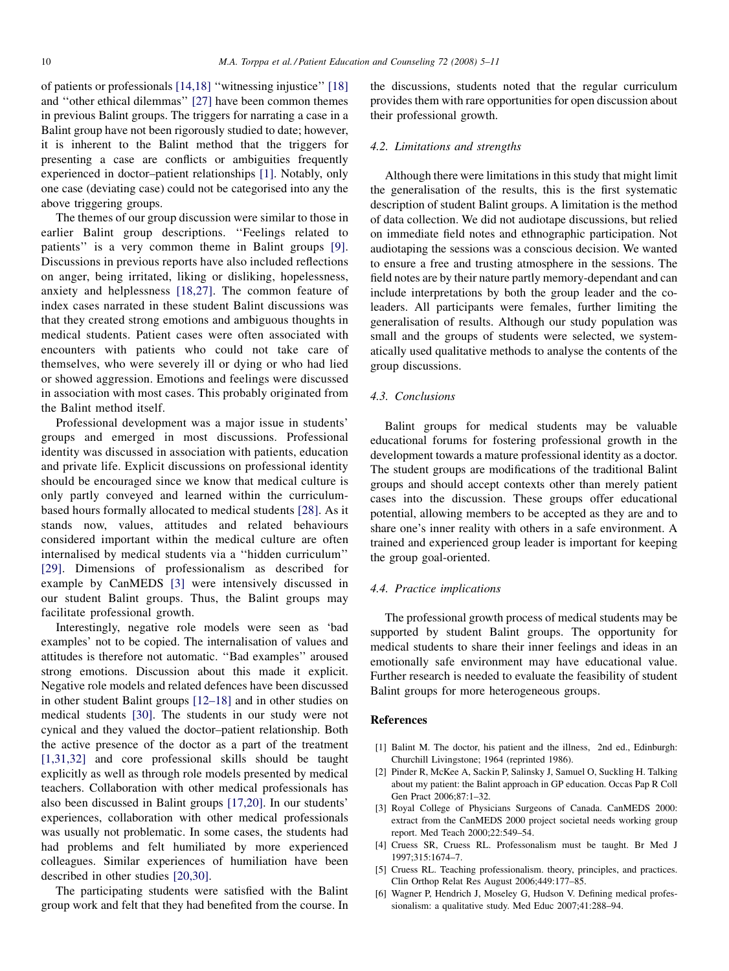<span id="page-5-0"></span>of patients or professionals [\[14,18\]](#page-6-0) ''witnessing injustice'' [\[18\]](#page-6-0) and ''other ethical dilemmas'' [\[27\]](#page-6-0) have been common themes in previous Balint groups. The triggers for narrating a case in a Balint group have not been rigorously studied to date; however, it is inherent to the Balint method that the triggers for presenting a case are conflicts or ambiguities frequently experienced in doctor–patient relationships [1]. Notably, only one case (deviating case) could not be categorised into any the above triggering groups.

The themes of our group discussion were similar to those in earlier Balint group descriptions. ''Feelings related to patients'' is a very common theme in Balint groups [\[9\]](#page-6-0). Discussions in previous reports have also included reflections on anger, being irritated, liking or disliking, hopelessness, anxiety and helplessness [\[18,27\].](#page-6-0) The common feature of index cases narrated in these student Balint discussions was that they created strong emotions and ambiguous thoughts in medical students. Patient cases were often associated with encounters with patients who could not take care of themselves, who were severely ill or dying or who had lied or showed aggression. Emotions and feelings were discussed in association with most cases. This probably originated from the Balint method itself.

Professional development was a major issue in students' groups and emerged in most discussions. Professional identity was discussed in association with patients, education and private life. Explicit discussions on professional identity should be encouraged since we know that medical culture is only partly conveyed and learned within the curriculumbased hours formally allocated to medical students [\[28\]](#page-6-0). As it stands now, values, attitudes and related behaviours considered important within the medical culture are often internalised by medical students via a ''hidden curriculum'' [\[29\].](#page-6-0) Dimensions of professionalism as described for example by CanMEDS [3] were intensively discussed in our student Balint groups. Thus, the Balint groups may facilitate professional growth.

Interestingly, negative role models were seen as 'bad examples' not to be copied. The internalisation of values and attitudes is therefore not automatic. ''Bad examples'' aroused strong emotions. Discussion about this made it explicit. Negative role models and related defences have been discussed in other student Balint groups [\[12–18\]](#page-6-0) and in other studies on medical students [\[30\].](#page-6-0) The students in our study were not cynical and they valued the doctor–patient relationship. Both the active presence of the doctor as a part of the treatment [1,31,32] and core professional skills should be taught explicitly as well as through role models presented by medical teachers. Collaboration with other medical professionals has also been discussed in Balint groups [\[17,20\].](#page-6-0) In our students' experiences, collaboration with other medical professionals was usually not problematic. In some cases, the students had had problems and felt humiliated by more experienced colleagues. Similar experiences of humiliation have been described in other studies [\[20,30\].](#page-6-0)

The participating students were satisfied with the Balint group work and felt that they had benefited from the course. In the discussions, students noted that the regular curriculum provides them with rare opportunities for open discussion about their professional growth.

# 4.2. Limitations and strengths

Although there were limitations in this study that might limit the generalisation of the results, this is the first systematic description of student Balint groups. A limitation is the method of data collection. We did not audiotape discussions, but relied on immediate field notes and ethnographic participation. Not audiotaping the sessions was a conscious decision. We wanted to ensure a free and trusting atmosphere in the sessions. The field notes are by their nature partly memory-dependant and can include interpretations by both the group leader and the coleaders. All participants were females, further limiting the generalisation of results. Although our study population was small and the groups of students were selected, we systematically used qualitative methods to analyse the contents of the group discussions.

#### 4.3. Conclusions

Balint groups for medical students may be valuable educational forums for fostering professional growth in the development towards a mature professional identity as a doctor. The student groups are modifications of the traditional Balint groups and should accept contexts other than merely patient cases into the discussion. These groups offer educational potential, allowing members to be accepted as they are and to share one's inner reality with others in a safe environment. A trained and experienced group leader is important for keeping the group goal-oriented.

#### 4.4. Practice implications

The professional growth process of medical students may be supported by student Balint groups. The opportunity for medical students to share their inner feelings and ideas in an emotionally safe environment may have educational value. Further research is needed to evaluate the feasibility of student Balint groups for more heterogeneous groups.

#### References

- [1] Balint M. The doctor, his patient and the illness, 2nd ed., Edinburgh: Churchill Livingstone; 1964 (reprinted 1986).
- [2] Pinder R, McKee A, Sackin P, Salinsky J, Samuel O, Suckling H. Talking about my patient: the Balint approach in GP education. Occas Pap R Coll Gen Pract 2006;87:1–32.
- [3] Royal College of Physicians Surgeons of Canada. CanMEDS 2000: extract from the CanMEDS 2000 project societal needs working group report. Med Teach 2000;22:549–54.
- [4] Cruess SR, Cruess RL. Professonalism must be taught. Br Med J 1997;315:1674–7.
- [5] Cruess RL. Teaching professionalism. theory, principles, and practices. Clin Orthop Relat Res August 2006;449:177–85.
- [6] Wagner P, Hendrich J, Moseley G, Hudson V. Defining medical professionalism: a qualitative study. Med Educ 2007;41:288–94.